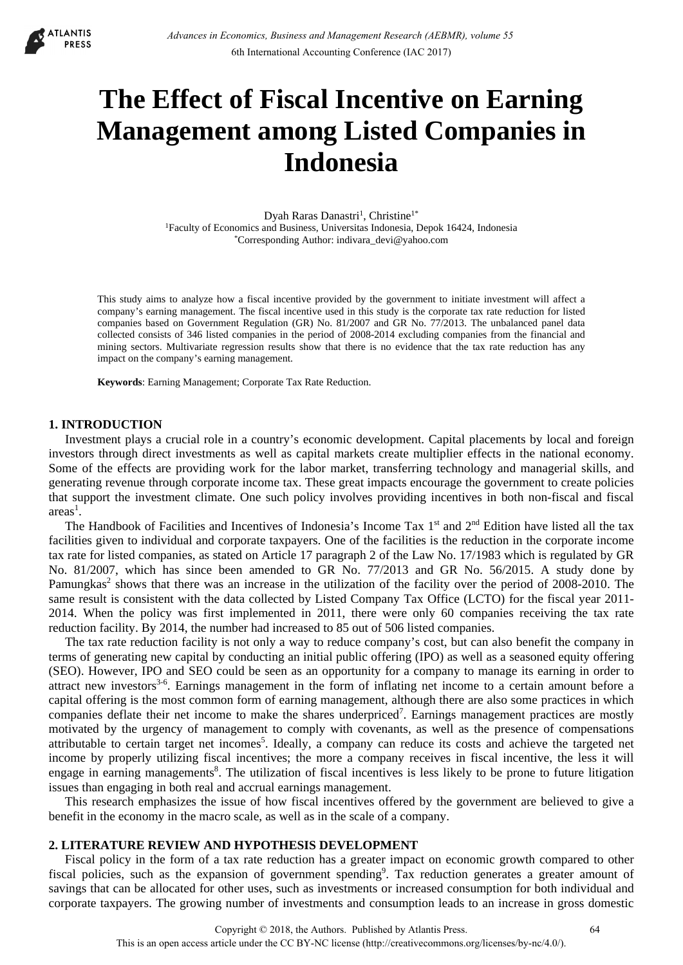

# **The Effect of Fiscal Incentive on Earning Management among Listed Companies in Indonesia**

Dyah Raras Danastri<sup>1</sup>, Christine<sup>1\*</sup> 1Faculty of Economics and Business, Universitas Indonesia, Depok 16424, Indonesia \*Corresponding Author: indivara\_devi@yahoo.com

This study aims to analyze how a fiscal incentive provided by the government to initiate investment will affect a company's earning management. The fiscal incentive used in this study is the corporate tax rate reduction for listed companies based on Government Regulation (GR) No. 81/2007 and GR No. 77/2013. The unbalanced panel data collected consists of 346 listed companies in the period of 2008-2014 excluding companies from the financial and mining sectors. Multivariate regression results show that there is no evidence that the tax rate reduction has any impact on the company's earning management.

**Keywords**: Earning Management; Corporate Tax Rate Reduction.

## **1. INTRODUCTION**

Investment plays a crucial role in a country's economic development. Capital placements by local and foreign investors through direct investments as well as capital markets create multiplier effects in the national economy. Some of the effects are providing work for the labor market, transferring technology and managerial skills, and generating revenue through corporate income tax. These great impacts encourage the government to create policies that support the investment climate. One such policy involves providing incentives in both non-fiscal and fiscal  $area<sup>1</sup>$ .

The Handbook of Facilities and Incentives of Indonesia's Income Tax 1<sup>st</sup> and 2<sup>nd</sup> Edition have listed all the tax facilities given to individual and corporate taxpayers. One of the facilities is the reduction in the corporate income tax rate for listed companies, as stated on Article 17 paragraph 2 of the Law No. 17/1983 which is regulated by GR No. 81/2007, which has since been amended to GR No. 77/2013 and GR No. 56/2015. A study done by Pamungkas<sup>2</sup> shows that there was an increase in the utilization of the facility over the period of 2008-2010. The same result is consistent with the data collected by Listed Company Tax Office (LCTO) for the fiscal year 2011- 2014. When the policy was first implemented in 2011, there were only 60 companies receiving the tax rate reduction facility. By 2014, the number had increased to 85 out of 506 listed companies.

The tax rate reduction facility is not only a way to reduce company's cost, but can also benefit the company in terms of generating new capital by conducting an initial public offering (IPO) as well as a seasoned equity offering (SEO). However, IPO and SEO could be seen as an opportunity for a company to manage its earning in order to attract new investors<sup>3-6</sup>. Earnings management in the form of inflating net income to a certain amount before a capital offering is the most common form of earning management, although there are also some practices in which companies deflate their net income to make the shares underpriced<sup>7</sup>. Earnings management practices are mostly motivated by the urgency of management to comply with covenants, as well as the presence of compensations attributable to certain target net incomes<sup>5</sup>. Ideally, a company can reduce its costs and achieve the targeted net income by properly utilizing fiscal incentives; the more a company receives in fiscal incentive, the less it will engage in earning managements<sup>8</sup>. The utilization of fiscal incentives is less likely to be prone to future litigation issues than engaging in both real and accrual earnings management.

This research emphasizes the issue of how fiscal incentives offered by the government are believed to give a benefit in the economy in the macro scale, as well as in the scale of a company.

## **2. LITERATURE REVIEW AND HYPOTHESIS DEVELOPMENT**

Fiscal policy in the form of a tax rate reduction has a greater impact on economic growth compared to other fiscal policies, such as the expansion of government spending<sup>9</sup>. Tax reduction generates a greater amount of savings that can be allocated for other uses, such as investments or increased consumption for both individual and corporate taxpayers. The growing number of investments and consumption leads to an increase in gross domestic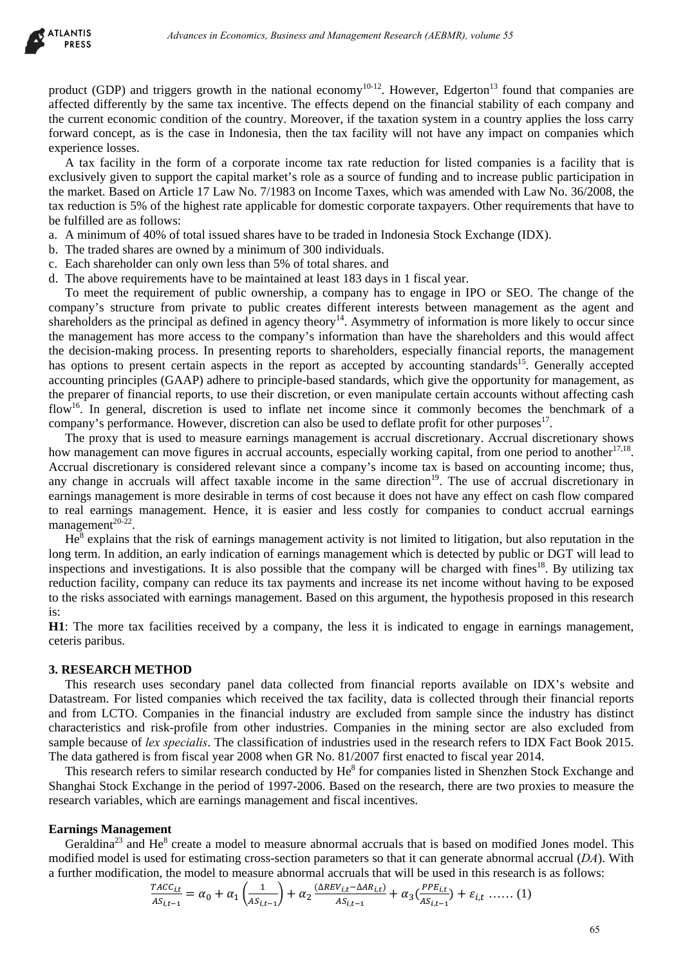

product (GDP) and triggers growth in the national economy<sup>10-12</sup>. However, Edgerton<sup>13</sup> found that companies are affected differently by the same tax incentive. The effects depend on the financial stability of each company and the current economic condition of the country. Moreover, if the taxation system in a country applies the loss carry forward concept, as is the case in Indonesia, then the tax facility will not have any impact on companies which experience losses.

A tax facility in the form of a corporate income tax rate reduction for listed companies is a facility that is exclusively given to support the capital market's role as a source of funding and to increase public participation in the market. Based on Article 17 Law No. 7/1983 on Income Taxes, which was amended with Law No. 36/2008, the tax reduction is 5% of the highest rate applicable for domestic corporate taxpayers. Other requirements that have to be fulfilled are as follows:

- a. A minimum of 40% of total issued shares have to be traded in Indonesia Stock Exchange (IDX).
- b. The traded shares are owned by a minimum of 300 individuals.
- c. Each shareholder can only own less than 5% of total shares. and
- d. The above requirements have to be maintained at least 183 days in 1 fiscal year.

To meet the requirement of public ownership, a company has to engage in IPO or SEO. The change of the company's structure from private to public creates different interests between management as the agent and shareholders as the principal as defined in agency theory<sup>14</sup>. Asymmetry of information is more likely to occur since the management has more access to the company's information than have the shareholders and this would affect the decision-making process. In presenting reports to shareholders, especially financial reports, the management has options to present certain aspects in the report as accepted by accounting standards<sup>15</sup>. Generally accepted accounting principles (GAAP) adhere to principle-based standards, which give the opportunity for management, as the preparer of financial reports, to use their discretion, or even manipulate certain accounts without affecting cash flow<sup>16</sup>. In general, discretion is used to inflate net income since it commonly becomes the benchmark of a company's performance. However, discretion can also be used to deflate profit for other purposes $^{17}$ . debiases in Economics, Business and Management Research (AEBMR), volume 53<br>ggers growth in the nutional economy<sup>26</sup><sup>13</sup>. However, Edgerton<sup>25</sup> found that companion<br>their assume tax incredibite and Management Research (AEB

The proxy that is used to measure earnings management is accrual discretionary. Accrual discretionary shows how management can move figures in accrual accounts, especially working capital, from one period to another<sup>17,18</sup>. Accrual discretionary is considered relevant since a company's income tax is based on accounting income; thus, any change in accruals will affect taxable income in the same direction<sup>19</sup>. The use of accrual discretionary in earnings management is more desirable in terms of cost because it does not have any effect on cash flow compared to real earnings management. Hence, it is easier and less costly for companies to conduct accrual earnings management $20-22$ .

He<sup>8</sup> explains that the risk of earnings management activity is not limited to litigation, but also reputation in the long term. In addition, an early indication of earnings management which is detected by public or DGT will lead to inspections and investigations. It is also possible that the company will be charged with fines<sup>18</sup>. By utilizing tax reduction facility, company can reduce its tax payments and increase its net income without having to be exposed to the risks associated with earnings management. Based on this argument, the hypothesis proposed in this research is:

**H1**: The more tax facilities received by a company, the less it is indicated to engage in earnings management, ceteris paribus.

## **3. RESEARCH METHOD**

This research uses secondary panel data collected from financial reports available on IDX's website and Datastream. For listed companies which received the tax facility, data is collected through their financial reports and from LCTO. Companies in the financial industry are excluded from sample since the industry has distinct characteristics and risk-profile from other industries. Companies in the mining sector are also excluded from sample because of *lex specialis*. The classification of industries used in the research refers to IDX Fact Book 2015. The data gathered is from fiscal year 2008 when GR No. 81/2007 first enacted to fiscal year 2014.

This research refers to similar research conducted by He<sup>8</sup> for companies listed in Shenzhen Stock Exchange and Shanghai Stock Exchange in the period of 1997-2006. Based on the research, there are two proxies to measure the research variables, which are earnings management and fiscal incentives.

#### **Earnings Management**

Geraldina<sup>23</sup> and He<sup>8</sup> create a model to measure abnormal accruals that is based on modified Jones model. This modified model is used for estimating cross-section parameters so that it can generate abnormal accrual (*DA*). With a further modification, the model to measure abnormal accruals that will be used in this research is as follows:

$$
\frac{r_{ACC_{i,t}}}{AS_{i,t-1}} = \alpha_0 + \alpha_1 \left( \frac{1}{AS_{i,t-1}} \right) + \alpha_2 \frac{(\Delta REV_{i,t} - \Delta AR_{i,t})}{AS_{i,t-1}} + \alpha_3 \left( \frac{PPE_{i,t}}{AS_{i,t-1}} \right) + \varepsilon_{i,t} \dots \dots (1)
$$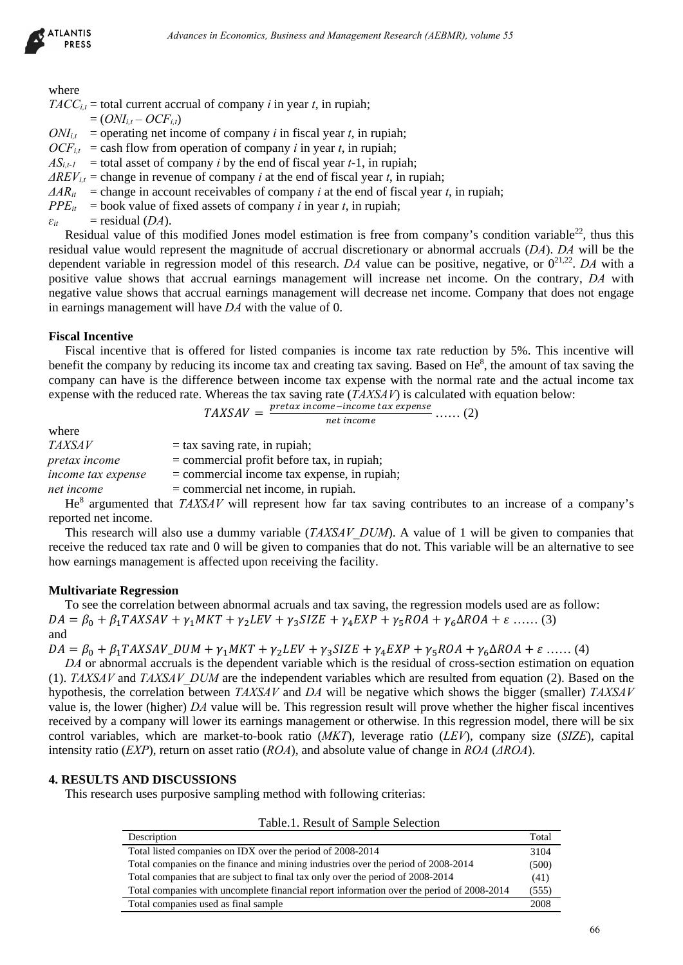

where

 $TACC_{i,t}$  = total current accrual of company *i* in year *t*, in rupiah;  $= (ONI_{i,t} - OCF_{i,t})$ 

 $ON_{i,t}$  = operating net income of company *i* in fiscal year *t*, in rupiah;

 $OCF_{it}$  = cash flow from operation of company *i* in year *t*, in rupiah;

 $AS_{i,t-1}$  = total asset of company *i* by the end of fiscal year *t*-1, in rupiah;

 $\Delta REV_{it}$  = change in revenue of company *i* at the end of fiscal year *t*, in rupiah;

 $\Delta AR_{it}$  = change in account receivables of company *i* at the end of fiscal year *t*, in rupiah;

 $PPE_{it}$  = book value of fixed assets of company *i* in year *t*, in rupiah;

 $\varepsilon_{it}$  = residual (*DA*).

Residual value of this modified Jones model estimation is free from company's condition variable<sup>22</sup>, thus this residual value would represent the magnitude of accrual discretionary or abnormal accruals (*DA*). *DA* will be the dependent variable in regression model of this research. *DA* value can be positive, negative, or  $0^{21,22}$ . *DA* with a positive value shows that accrual earnings management will increase net income. On the contrary, *DA* with negative value shows that accrual earnings management will decrease net income. Company that does not engage in earnings management will have *DA* with the value of 0.

## **Fiscal Incentive**

Fiscal incentive that is offered for listed companies is income tax rate reduction by 5%. This incentive will benefit the company by reducing its income tax and creating tax saving. Based on  $He<sup>8</sup>$ , the amount of tax saving the company can have is the difference between income tax expense with the normal rate and the actual income tax expense with the reduced rate. Whereas the tax saving rate (*TAXSAV*) is calculated with equation below:

$$
TAXSAV = \frac{pretax\ income - income\ tax\ expense}{net\ income} \dots \quad (2)
$$

| where              |                                                                                                                                                                                                                                                                                                  |
|--------------------|--------------------------------------------------------------------------------------------------------------------------------------------------------------------------------------------------------------------------------------------------------------------------------------------------|
| <b>TAXSAV</b>      | $=$ tax saving rate, in rupiah;                                                                                                                                                                                                                                                                  |
| pretax income      | $=$ commercial profit before tax, in rupiah;                                                                                                                                                                                                                                                     |
| income tax expense | $=$ commercial income tax expense, in rupiah;                                                                                                                                                                                                                                                    |
| net income         | $=$ commercial net income, in rupiah.                                                                                                                                                                                                                                                            |
|                    | $\mathbf{A}$ and $\mathbf{B}$ are $\mathbf{A}$ and $\mathbf{B}$ and $\mathbf{B}$ and $\mathbf{B}$ and $\mathbf{B}$ and $\mathbf{B}$ and $\mathbf{B}$ and $\mathbf{B}$ and $\mathbf{B}$ and $\mathbf{B}$ and $\mathbf{B}$ and $\mathbf{B}$ and $\mathbf{B}$ and $\mathbf{B}$ and $\mathbf{B}$ and |

He<sup>8</sup> argumented that *TAXSAV* will represent how far tax saving contributes to an increase of a company's reported net income.

This research will also use a dummy variable (*TAXSAV\_DUM*). A value of 1 will be given to companies that receive the reduced tax rate and 0 will be given to companies that do not. This variable will be an alternative to see how earnings management is affected upon receiving the facility.

# **Multivariate Regression**

To see the correlation between abnormal acruals and tax saving, the regression models used are as follow:  $DA = \beta_0 + \beta_1 TAXSAV + \gamma_1 MKT + \gamma_2 LEV + \gamma_3 SIZE + \gamma_4 EXP + \gamma_5 ROA + \gamma_6 \Delta ROA + \varepsilon$  ...... (3) and

 $DA = \beta_0 + \beta_1 TAXSAV_DUM + \gamma_1 MKT + \gamma_2 LEV + \gamma_3 SIZE + \gamma_4 EXP + \gamma_5 ROA + \gamma_6 \Delta ROA + \varepsilon$  ...... (4)

*DA* or abnormal accruals is the dependent variable which is the residual of cross-section estimation on equation (1). *TAXSAV* and *TAXSAV\_DUM* are the independent variables which are resulted from equation (2). Based on the hypothesis, the correlation between *TAXSAV* and *DA* will be negative which shows the bigger (smaller) *TAXSAV*  value is, the lower (higher) *DA* value will be. This regression result will prove whether the higher fiscal incentives received by a company will lower its earnings management or otherwise. In this regression model, there will be six control variables, which are market-to-book ratio (*MKT*), leverage ratio (*LEV*), company size (*SIZE*), capital intensity ratio (*EXP*), return on asset ratio (*ROA*), and absolute value of change in *ROA* (*ΔROA*). debiases in Economics, Busines and Management Research (AEBMR), volume 55<br>
factorial of company i in Searl year i, in regular,<br>
incomic of company i in Searl year i, in regular,<br>
in regnantin of company i in Searl year i,

# **4. RESULTS AND DISCUSSIONS**

This research uses purposive sampling method with following criterias:

| Table.1. Result of Sample Selection                                                       |       |
|-------------------------------------------------------------------------------------------|-------|
| Description                                                                               | Total |
| Total listed companies on IDX over the period of 2008-2014                                | 3104  |
| Total companies on the finance and mining industries over the period of 2008-2014         | (500) |
| Total companies that are subject to final tax only over the period of 2008-2014           | (41)  |
| Total companies with uncomplete financial report information over the period of 2008-2014 | (555) |
| Total companies used as final sample                                                      | 2008  |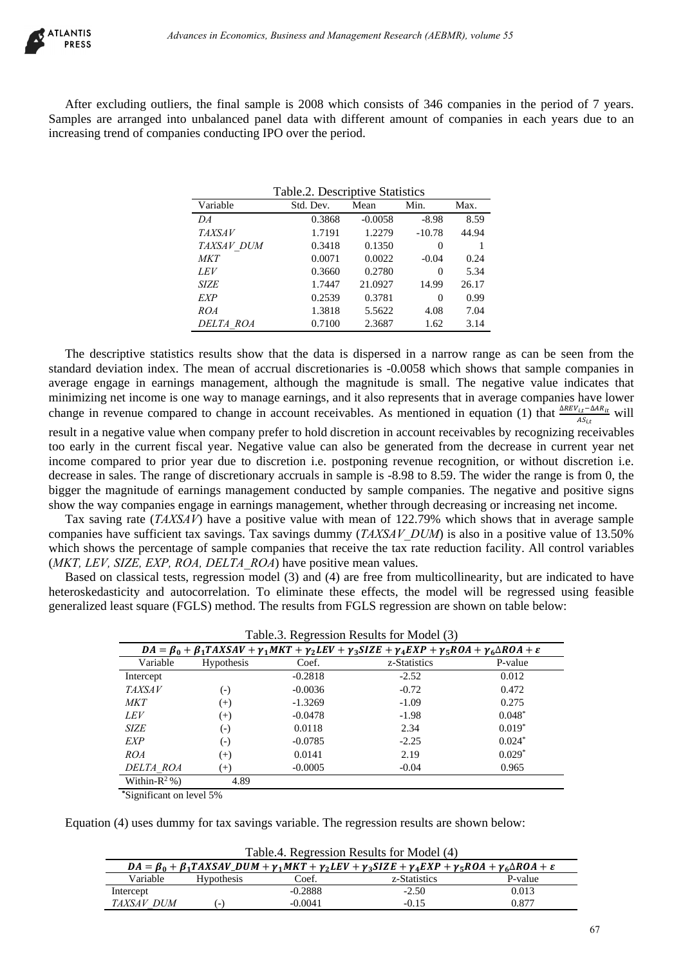

After excluding outliers, the final sample is 2008 which consists of 346 companies in the period of 7 years. Samples are arranged into unbalanced panel data with different amount of companies in each years due to an increasing trend of companies conducting IPO over the period.

 $T_{\rm{L}}$  1.1.  $\Delta$  Descriptive Statistics

| Table.2. Descriptive Statistics |           |           |          |       |
|---------------------------------|-----------|-----------|----------|-------|
| Variable                        | Std. Dev. | Mean      | Min.     | Max.  |
| DA                              | 0.3868    | $-0.0058$ | $-8.98$  | 8.59  |
| <b>TAXSAV</b>                   | 1.7191    | 1.2279    | $-10.78$ | 44.94 |
| TAXSAV DUM                      | 0.3418    | 0.1350    | 0        |       |
| <b>MKT</b>                      | 0.0071    | 0.0022    | $-0.04$  | 0.24  |
| <b>LEV</b>                      | 0.3660    | 0.2780    | $\theta$ | 5.34  |
| <b>SIZE</b>                     | 1.7447    | 21.0927   | 14.99    | 26.17 |
| EXP                             | 0.2539    | 0.3781    | $\Omega$ | 0.99  |
| ROA                             | 1.3818    | 5.5622    | 4.08     | 7.04  |
| DELTA ROA                       | 0.7100    | 2.3687    | 1.62     | 3.14  |

The descriptive statistics results show that the data is dispersed in a narrow range as can be seen from the standard deviation index. The mean of accrual discretionaries is -0.0058 which shows that sample companies in average engage in earnings management, although the magnitude is small. The negative value indicates that minimizing net income is one way to manage earnings, and it also represents that in average companies have lower change in revenue compared to change in account receivables. As mentioned in equation (1) that  $\frac{\Delta REV_{i,t}-\Delta AR_{it}}{AS_{i,t}}$  will result in a negative value when company prefer to hold discretion in account receivables by recognizing receivables too early in the current fiscal year. Negative value can also be generated from the decrease in current year net income compared to prior year due to discretion i.e. postponing revenue recognition, or without discretion i.e. decrease in sales. The range of discretionary accruals in sample is -8.98 to 8.59. The wider the range is from 0, the bigger the magnitude of earnings management conducted by sample companies. The negative and positive signs show the way companies engage in earnings management, whether through decreasing or increasing net income. debiases in Economics, Business and Management Research (AEBMR), volume 55<br>
Liers, the final sample is 2008 whiteh consists of 346 computes in the period of 346<br>
This uncheduced panel due with different amount of computes

Tax saving rate (*TAXSAV*) have a positive value with mean of 122.79% which shows that in average sample companies have sufficient tax savings. Tax savings dummy (*TAXSAV\_DUM*) is also in a positive value of 13.50% which shows the percentage of sample companies that receive the tax rate reduction facility. All control variables (*MKT, LEV, SIZE, EXP, ROA, DELTA\_ROA*) have positive mean values.

Based on classical tests, regression model (3) and (4) are free from multicollinearity, but are indicated to have heteroskedasticity and autocorrelation. To eliminate these effects, the model will be regressed using feasible generalized least square (FGLS) method. The results from FGLS regression are shown on table below:

| Table.3. Regression Results for Model (3) |                                                                                                                                              |           |              |          |  |
|-------------------------------------------|----------------------------------------------------------------------------------------------------------------------------------------------|-----------|--------------|----------|--|
|                                           | $DA = \beta_0 + \beta_1 TAXSAV + \gamma_1 MKT + \gamma_2 LEV + \gamma_3 SIZE + \gamma_4 EXP + \gamma_5 ROA + \gamma_6 \Delta ROA + \epsilon$ |           |              |          |  |
| Variable                                  | <b>Hypothesis</b>                                                                                                                            | Coef.     | z-Statistics | P-value  |  |
| Intercept                                 |                                                                                                                                              | $-0.2818$ | $-2.52$      | 0.012    |  |
| <b>TAXSAV</b>                             | $(-)$                                                                                                                                        | $-0.0036$ | $-0.72$      | 0.472    |  |
| <b>MKT</b>                                | $^{(+)}$                                                                                                                                     | $-1.3269$ | $-1.09$      | 0.275    |  |
| <b>LEV</b>                                | $^{(+)}$                                                                                                                                     | $-0.0478$ | $-1.98$      | $0.048*$ |  |
| <b>SIZE</b>                               | $(-)$                                                                                                                                        | 0.0118    | 2.34         | $0.019*$ |  |
| EXP                                       | $(-)$                                                                                                                                        | $-0.0785$ | $-2.25$      | $0.024*$ |  |
| ROA                                       | $^{(+)}$                                                                                                                                     | 0.0141    | 2.19         | $0.029*$ |  |
| DELTA ROA                                 | $^{(+)}$                                                                                                                                     | $-0.0005$ | $-0.04$      | 0.965    |  |
| Within- $R^2$ %)                          | 4.89                                                                                                                                         |           |              |          |  |

**\***Significant on level 5%

Equation (4) uses dummy for tax savings variable. The regression results are shown below:

| Table. The experience is the model (+)                                                                                                           |                          |           |              |         |
|--------------------------------------------------------------------------------------------------------------------------------------------------|--------------------------|-----------|--------------|---------|
| $DA = \beta_0 + \beta_1 TAXSAV_DUM + \gamma_1 MKT + \gamma_2 LEV + \gamma_3 SIZE + \gamma_4 EXP + \gamma_5 ROA + \gamma_6 \Delta ROA + \epsilon$ |                          |           |              |         |
| Variable                                                                                                                                         | <b>Hypothesis</b>        | Coef.     | z-Statistics | P-value |
| Intercept                                                                                                                                        |                          | $-0.2888$ | $-2.50$      | 0.013   |
| TAXSAV DUM                                                                                                                                       | $\overline{\phantom{0}}$ | $-0.0041$ | $-0.15$      | 0.877   |

Table 4. Regression Results for Model (4)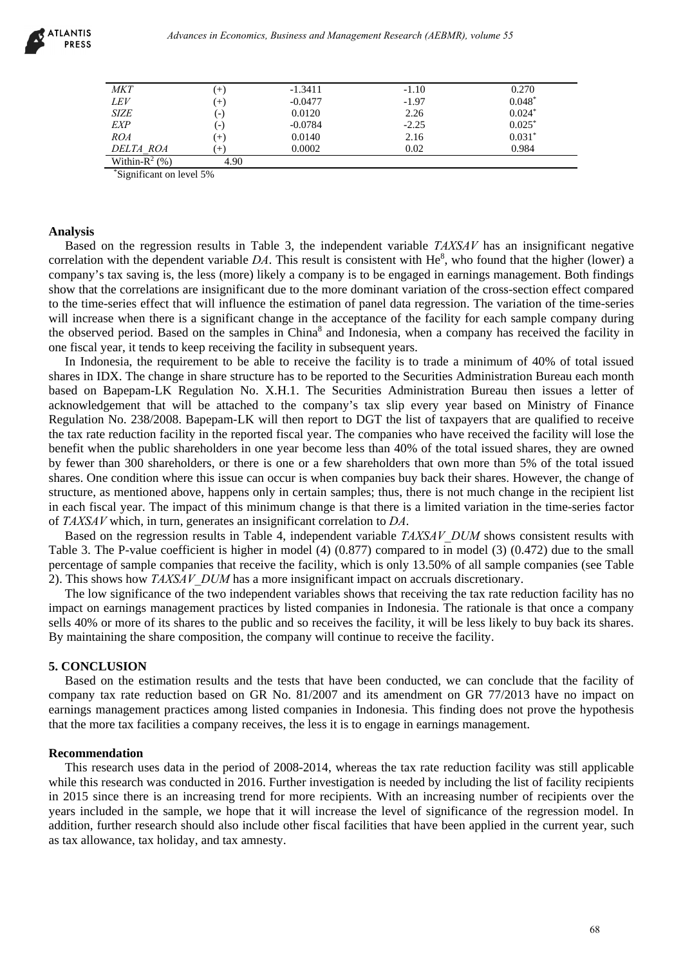

| <b>MKT</b>        | $^{+}$ | $-1.3411$ | $-1.10$ | 0.270    |
|-------------------|--------|-----------|---------|----------|
| LEV               | $(+)$  | $-0.0477$ | $-1.97$ | $0.048*$ |
| <b>SIZE</b>       | (-)    | 0.0120    | 2.26    | $0.024*$ |
| <b>EXP</b>        | ( – )  | $-0.0784$ | $-2.25$ | $0.025*$ |
| ROA               | $(+)$  | 0.0140    | 2.16    | $0.031*$ |
| DELTA ROA         |        | 0.0002    | 0.02    | 0.984    |
| Within- $R^2$ (%) | 4.90   |           |         |          |

\*Significant on level 5%

## **Analysis**

Based on the regression results in Table 3, the independent variable *TAXSAV* has an insignificant negative correlation with the dependent variable  $DA$ . This result is consistent with  $He<sup>8</sup>$ , who found that the higher (lower) a company's tax saving is, the less (more) likely a company is to be engaged in earnings management. Both findings show that the correlations are insignificant due to the more dominant variation of the cross-section effect compared to the time-series effect that will influence the estimation of panel data regression. The variation of the time-series will increase when there is a significant change in the acceptance of the facility for each sample company during the observed period. Based on the samples in China<sup>8</sup> and Indonesia, when a company has received the facility in one fiscal year, it tends to keep receiving the facility in subsequent years.

In Indonesia, the requirement to be able to receive the facility is to trade a minimum of 40% of total issued shares in IDX. The change in share structure has to be reported to the Securities Administration Bureau each month based on Bapepam-LK Regulation No. X.H.1. The Securities Administration Bureau then issues a letter of acknowledgement that will be attached to the company's tax slip every year based on Ministry of Finance Regulation No. 238/2008. Bapepam-LK will then report to DGT the list of taxpayers that are qualified to receive the tax rate reduction facility in the reported fiscal year. The companies who have received the facility will lose the benefit when the public shareholders in one year become less than 40% of the total issued shares, they are owned by fewer than 300 shareholders, or there is one or a few shareholders that own more than 5% of the total issued shares. One condition where this issue can occur is when companies buy back their shares. However, the change of structure, as mentioned above, happens only in certain samples; thus, there is not much change in the recipient list in each fiscal year. The impact of this minimum change is that there is a limited variation in the time-series factor of *TAXSAV* which, in turn, generates an insignificant correlation to *DA*. drivances in Economics, Business and Management Research (AEBMR), volume 55<br>
(a) 0.570<br>
(a) 0.698<br>
(a) 0.698<br>
(a) 0.698<br>
(a) 0.698<br>
(a) 0.698<br>
(a) 0.698<br>
(a) 0.698<br>
(a) 0.698<br>
(a) 0.698<br>
(a) 0.698<br>
(a) 0.698<br>
(a) 0.698<br>
(a

Based on the regression results in Table 4, independent variable *TAXSAV\_DUM* shows consistent results with Table 3. The P-value coefficient is higher in model (4) (0.877) compared to in model (3) (0.472) due to the small percentage of sample companies that receive the facility, which is only 13.50% of all sample companies (see Table 2). This shows how *TAXSAV\_DUM* has a more insignificant impact on accruals discretionary.

The low significance of the two independent variables shows that receiving the tax rate reduction facility has no impact on earnings management practices by listed companies in Indonesia. The rationale is that once a company sells 40% or more of its shares to the public and so receives the facility, it will be less likely to buy back its shares. By maintaining the share composition, the company will continue to receive the facility.

#### **5. CONCLUSION**

Based on the estimation results and the tests that have been conducted, we can conclude that the facility of company tax rate reduction based on GR No. 81/2007 and its amendment on GR 77/2013 have no impact on earnings management practices among listed companies in Indonesia. This finding does not prove the hypothesis that the more tax facilities a company receives, the less it is to engage in earnings management.

### **Recommendation**

This research uses data in the period of 2008-2014, whereas the tax rate reduction facility was still applicable while this research was conducted in 2016. Further investigation is needed by including the list of facility recipients in 2015 since there is an increasing trend for more recipients. With an increasing number of recipients over the years included in the sample, we hope that it will increase the level of significance of the regression model. In addition, further research should also include other fiscal facilities that have been applied in the current year, such as tax allowance, tax holiday, and tax amnesty.